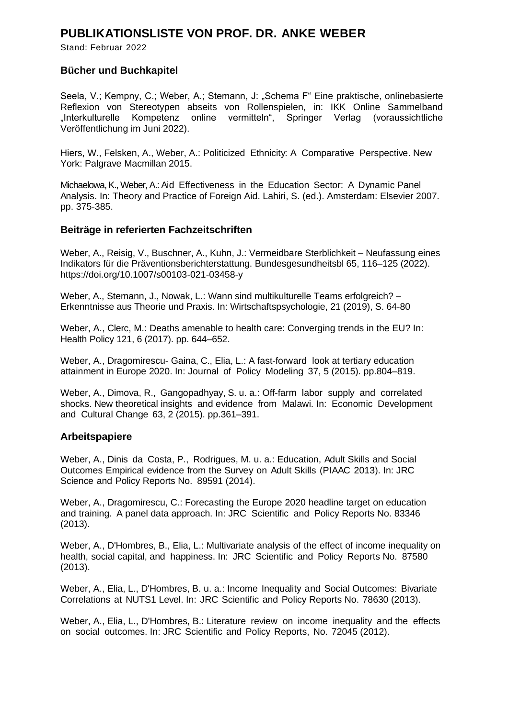## **PUBLIKATIONSLISTE VON PROF. DR. ANKE WEBER**

Stand: Februar 2022

## **Bücher und Buchkapitel**

Seela, V.; Kempny, C.; Weber, A.; Stemann, J: "Schema F" Eine praktische, onlinebasierte Reflexion von Stereotypen abseits von Rollenspielen, in: IKK Online Sammelband "Interkulturelle Kompetenz online vermitteln", Springer Verlag (voraussichtliche Veröffentlichung im Juni 2022).

Hiers, W., Felsken, A., Weber, A.: Politicized Ethnicity: A Comparative Perspective. New York: Palgrave Macmillan 2015.

Michaelowa, K., Weber, A.: Aid Effectiveness in the Education Sector: A Dynamic Panel Analysis. In: Theory and Practice of Foreign Aid. Lahiri, S. (ed.). Amsterdam: Elsevier 2007. pp. 375-385.

#### **Beiträge in referierten Fachzeitschriften**

Weber, A., Reisig, V., Buschner, A., Kuhn, J.: Vermeidbare Sterblichkeit – Neufassung eines Indikators für die Präventionsberichterstattung. Bundesgesundheitsbl 65, 116–125 (2022). <https://doi.org/10.1007/s00103-021-03458-y>

Weber, A., Stemann, J., Nowak, L.: Wann sind multikulturelle Teams erfolgreich? – Erkenntnisse aus Theorie und Praxis. In: Wirtschaftspsychologie, 21 (2019), S. 64-80

Weber, A., Clerc, M.: Deaths amenable to health care: Converging trends in the EU? In: Health Policy 121, 6 (2017). pp. 644–652.

Weber, A., Dragomirescu- Gaina, C., Elia, L.: A fast-forward look at tertiary education attainment in Europe 2020. In: Journal of Policy Modeling 37, 5 (2015). pp.804–819.

Weber, A., Dimova, R., Gangopadhyay, S. u. a.: Off-farm labor supply and correlated shocks. New theoretical insights and evidence from Malawi. In: Economic Development and Cultural Change 63, 2 (2015). pp.361–391.

#### **Arbeitspapiere**

Weber, A., Dinis da Costa, P., Rodrigues, M. u. a.: Education, Adult Skills and Social Outcomes Empirical evidence from the Survey on Adult Skills (PIAAC 2013). In: JRC Science and Policy Reports No. 89591 (2014).

Weber, A., Dragomirescu, C.: Forecasting the Europe 2020 headline target on education and training. A panel data approach. In: JRC Scientific and Policy Reports No. 83346 (2013).

Weber, A., D'Hombres, B., Elia, L.: Multivariate analysis of the effect of income inequality on health, social capital, and happiness. In: JRC Scientific and Policy Reports No. 87580 (2013).

Weber, A., Elia, L., D'Hombres, B. u. a.: Income Inequality and Social Outcomes: Bivariate Correlations at NUTS1 Level. In: JRC Scientific and Policy Reports No. 78630 (2013).

Weber, A., Elia, L., D'Hombres, B.: Literature review on income inequality and the effects on social outcomes. In: JRC Scientific and Policy Reports, No. 72045 (2012).